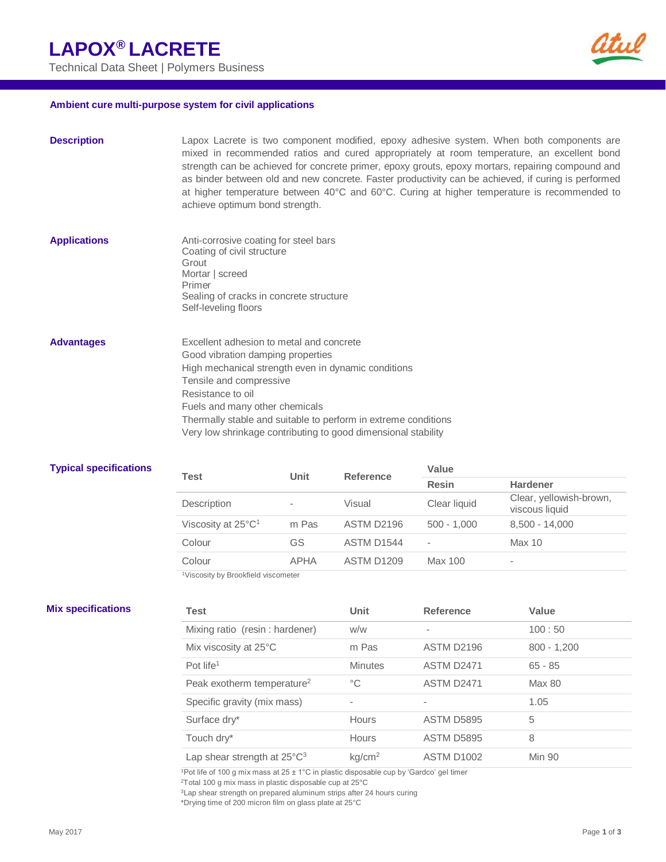Technical Data Sheet | Polymers Business



### **Ambient cure multi-purpose system for civil applications**

| <b>Description</b>  | Lapox Lacrete is two component modified, epoxy adhesive system. When both components are<br>mixed in recommended ratios and cured appropriately at room temperature, an excellent bond<br>strength can be achieved for concrete primer, epoxy grouts, epoxy mortars, repairing compound and<br>as binder between old and new concrete. Faster productivity can be achieved, if curing is performed<br>at higher temperature between 40°C and 60°C. Curing at higher temperature is recommended to<br>achieve optimum bond strength. |
|---------------------|-------------------------------------------------------------------------------------------------------------------------------------------------------------------------------------------------------------------------------------------------------------------------------------------------------------------------------------------------------------------------------------------------------------------------------------------------------------------------------------------------------------------------------------|
| <b>Applications</b> | Anti-corrosive coating for steel bars<br>Coating of civil structure<br>Grout<br>Mortar   screed<br>Primer<br>Sealing of cracks in concrete structure<br>Self-leveling floors                                                                                                                                                                                                                                                                                                                                                        |
| <b>Advantages</b>   | Excellent adhesion to metal and concrete<br>Good vibration damping properties<br>High mechanical strength even in dynamic conditions<br>Tensile and compressive<br>Resistance to oil<br>Fuels and many other chemicals<br>Thermally stable and suitable to perform in extreme conditions<br>Very low shrinkage contributing to good dimensional stability                                                                                                                                                                           |

### **Typical specifications**

ł,

| Test                             | <b>Unit</b> | <b>Reference</b>  | Value                    |                                           |  |
|----------------------------------|-------------|-------------------|--------------------------|-------------------------------------------|--|
|                                  |             |                   | <b>Resin</b>             | <b>Hardener</b>                           |  |
| Description                      |             | Visual            | Clear liquid             | Clear, yellowish-brown,<br>viscous liquid |  |
| Viscosity at 25°C <sup>1</sup>   | m Pas       | ASTM D2196        | $500 - 1.000$            | $8,500 - 14,000$                          |  |
| Colour                           | GS          | ASTM D1544        | $\overline{\phantom{a}}$ | <b>Max 10</b>                             |  |
| Colour                           | <b>APHA</b> | <b>ASTM D1209</b> | Max 100                  | $\overline{\phantom{a}}$                  |  |
| Wasserth Lu Dreabfield Generator |             |                   |                          |                                           |  |

<sup>1</sup>Viscosity by Brookfield viscometer

| <b>Mix specifications</b> | Test                                   | Unit               | <b>Reference</b>  | Value         |
|---------------------------|----------------------------------------|--------------------|-------------------|---------------|
|                           | Mixing ratio (resin: hardener)         | w/w                | ۰                 | 100:50        |
|                           | Mix viscosity at 25°C                  | m Pas              | ASTM D2196        | $800 - 1,200$ |
|                           | Pot life <sup>1</sup>                  | <b>Minutes</b>     | <b>ASTM D2471</b> | $65 - 85$     |
|                           | Peak exotherm temperature <sup>2</sup> | $^{\circ}C$        | <b>ASTM D2471</b> | Max 80        |
|                           | Specific gravity (mix mass)            | ٠                  |                   | 1.05          |
|                           | Surface dry*                           | Hours              | <b>ASTM D5895</b> | 5             |
|                           | Touch dry*                             | <b>Hours</b>       | <b>ASTM D5895</b> | 8             |
|                           | Lap shear strength at $25^{\circ}C^3$  | kg/cm <sup>2</sup> | <b>ASTM D1002</b> | Min 90        |

<sup>1</sup>Pot life of 100 g mix mass at 25  $\pm$  1°C in plastic disposable cup by 'Gardco' gel timer

<sup>2</sup>Total 100 g mix mass in plastic disposable cup at 25°C

<sup>3</sup>Lap shear strength on prepared aluminum strips after 24 hours curing

\*Drying time of 200 micron film on glass plate at 25°C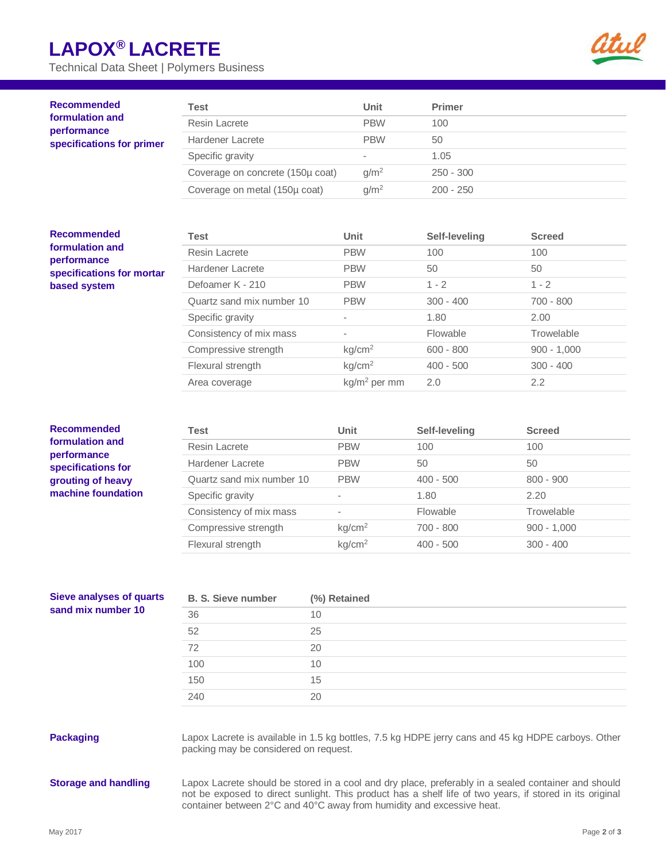# **LAPOX® LACRETE**

Technical Data Sheet | Polymers Business



| <b>Recommended</b><br>formulation and<br>performance<br>specifications for primer | Test                             | <b>Unit</b>      | <b>Primer</b> |               |
|-----------------------------------------------------------------------------------|----------------------------------|------------------|---------------|---------------|
|                                                                                   | Resin Lacrete                    | <b>PBW</b>       | 100           |               |
|                                                                                   | Hardener Lacrete                 | <b>PBW</b>       | 50            |               |
|                                                                                   | Specific gravity                 | ٠                | 1.05          |               |
|                                                                                   | Coverage on concrete (150µ coat) | g/m <sup>2</sup> | $250 - 300$   |               |
|                                                                                   | Coverage on metal (150µ coat)    | g/m <sup>2</sup> | $200 - 250$   |               |
| <b>Recommended</b>                                                                | Test                             | Unit             | Self-leveling | <b>Screed</b> |
|                                                                                   |                                  |                  |               |               |
| formulation and<br>performance<br>specifications for mortar<br>based system       | Resin Lacrete                    | <b>PBW</b>       | 100           | 100           |
|                                                                                   | <b>Hardener Lacrete</b>          | <b>PBW</b>       | 50            | 50            |
|                                                                                   | Defoamer K - 210                 | <b>PBW</b>       | $1 - 2$       | $1 - 2$       |
|                                                                                   | Quartz sand mix number 10        | <b>PBW</b>       | $300 - 400$   | $700 - 800$   |
|                                                                                   | Specific gravity                 | ۰                | 1.80          | 2.00          |
|                                                                                   | Consistency of mix mass          |                  | Flowable      | Trowelable    |

| <b>Recommended</b><br>formulation and<br>performance<br>specifications for<br>grouting of heavy<br>machine foundation | Test                      | Unit               | Self-leveling | <b>Screed</b> |
|-----------------------------------------------------------------------------------------------------------------------|---------------------------|--------------------|---------------|---------------|
|                                                                                                                       | Resin Lacrete             | <b>PBW</b>         | 100           | 100           |
|                                                                                                                       | Hardener Lacrete          | <b>PBW</b>         | 50            | 50            |
|                                                                                                                       | Quartz sand mix number 10 | <b>PBW</b>         | $400 - 500$   | $800 - 900$   |
|                                                                                                                       | Specific gravity          | ۰                  | 1.80          | 2.20          |
|                                                                                                                       | Consistency of mix mass   | -                  | Flowable      | Trowelable    |
|                                                                                                                       | Compressive strength      | kg/cm <sup>2</sup> | $700 - 800$   | $900 - 1,000$ |
|                                                                                                                       | Flexural strength         | kg/cm <sup>2</sup> | $400 - 500$   | $300 - 400$   |

Compressive strength  $kg/cm^2$  600 - 800 900 - 1,000 Flexural strength  $kg/cm^2$  400 - 500  $300 - 400$ 

Area coverage kg/m<sup>2</sup> per mm 2.0 2.2

| <b>Sieve analyses of quarts</b><br>sand mix number 10 | <b>B. S. Sieve number</b> | (%) Retained |
|-------------------------------------------------------|---------------------------|--------------|
|                                                       | 36                        | 10           |
|                                                       | 52                        | 25           |
|                                                       | 72                        | 20           |
|                                                       | 100                       | 10           |
|                                                       | 150                       | 15           |
|                                                       | 240                       | 20           |

**Packaging** Lapox Lacrete is available in 1.5 kg bottles, 7.5 kg HDPE jerry cans and 45 kg HDPE carboys. Other packing may be considered on request.

**Storage and handling** Lapox Lacrete should be stored in a cool and dry place, preferably in a sealed container and should not be exposed to direct sunlight. This product has a shelf life of two years, if stored in its original container between 2°C and 40°C away from humidity and excessive heat.